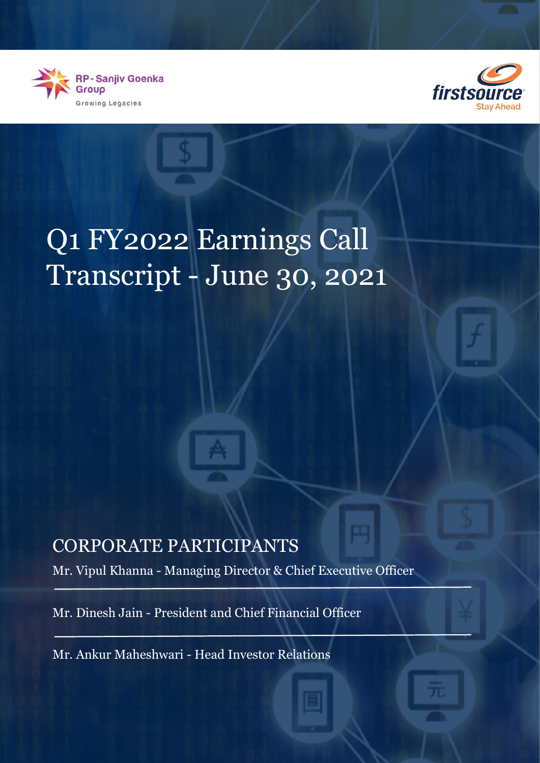



# Q1 FY2022 Earnings Call Transcript - June 30, 2021

# CORPORATE PARTICIPANTS

Mr. Vipul Khanna - Managing Director & Chief Executive Officer

Mr. Dinesh Jain - President and Chief Financial Officer

Mr. Ankur Maheshwari - Head Investor Relations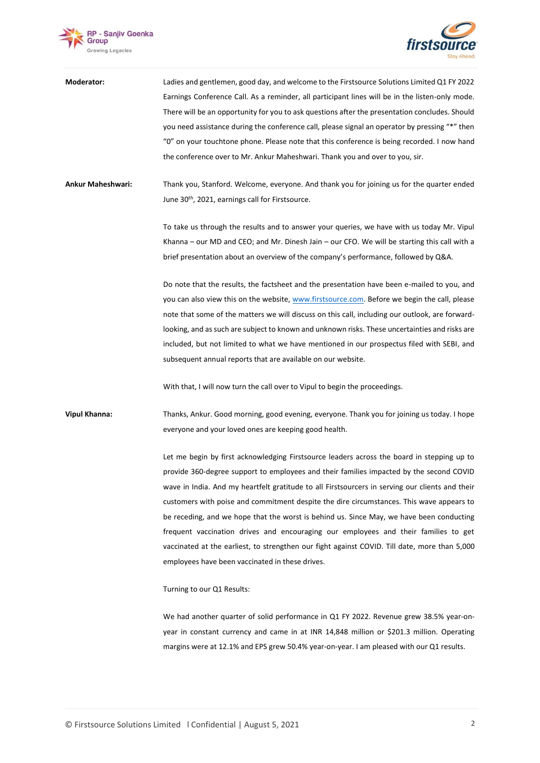



| Moderator:               | Ladies and gentlemen, good day, and welcome to the Firstsource Solutions Limited Q1 FY 2022     |
|--------------------------|-------------------------------------------------------------------------------------------------|
|                          | Earnings Conference Call. As a reminder, all participant lines will be in the listen-only mode. |
|                          | There will be an opportunity for you to ask questions after the presentation concludes. Should  |
|                          | you need assistance during the conference call, please signal an operator by pressing "*" then  |
|                          | "0" on your touchtone phone. Please note that this conference is being recorded. I now hand     |
|                          | the conference over to Mr. Ankur Maheshwari. Thank you and over to you, sir.                    |
|                          |                                                                                                 |
| <b>Ankur Maheshwari:</b> | Thank you, Stanford. Welcome, everyone. And thank you for joining us for the quarter ended      |
|                          | June 30th, 2021, earnings call for Firstsource.                                                 |
|                          |                                                                                                 |
|                          | To take us through the results and to answer your queries, we have with us today Mr. Vipul      |
|                          | Khanna - our MD and CEO; and Mr. Dinesh Jain - our CFO. We will be starting this call with a    |
|                          | brief presentation about an overview of the company's performance, followed by Q&A.             |
|                          | Do note that the results, the factsheet and the presentation have been e-mailed to you, and     |
|                          | you can also view this on the website, www.firstsource.com. Before we begin the call, please    |
|                          | note that some of the matters we will discuss on this call, including our outlook, are forward- |
|                          | looking, and as such are subject to known and unknown risks. These uncertainties and risks are  |
|                          | included, but not limited to what we have mentioned in our prospectus filed with SEBI, and      |
|                          | subsequent annual reports that are available on our website.                                    |
|                          |                                                                                                 |
|                          | With that, I will now turn the call over to Vipul to begin the proceedings.                     |
| <b>Vipul Khanna:</b>     | Thanks, Ankur. Good morning, good evening, everyone. Thank you for joining us today. I hope     |
|                          | everyone and your loved ones are keeping good health.                                           |
|                          |                                                                                                 |
|                          | Let me begin by first acknowledging Firstsource leaders across the board in stepping up to      |
|                          | provide 360-degree support to employees and their families impacted by the second COVID         |
|                          | wave in India. And my heartfelt gratitude to all Firstsourcers in serving our clients and their |
|                          | customers with poise and commitment despite the dire circumstances. This wave appears to        |
|                          | be receding, and we hope that the worst is behind us. Since May, we have been conducting        |
|                          | frequent vaccination drives and encouraging our employees and their families to get             |
|                          | vaccinated at the earliest, to strengthen our fight against COVID. Till date, more than 5,000   |
|                          | employees have been vaccinated in these drives.                                                 |
|                          |                                                                                                 |

Turning to our Q1 Results:

We had another quarter of solid performance in Q1 FY 2022. Revenue grew 38.5% year-onyear in constant currency and came in at INR 14,848 million or \$201.3 million. Operating margins were at 12.1% and EPS grew 50.4% year-on-year. I am pleased with our Q1 results.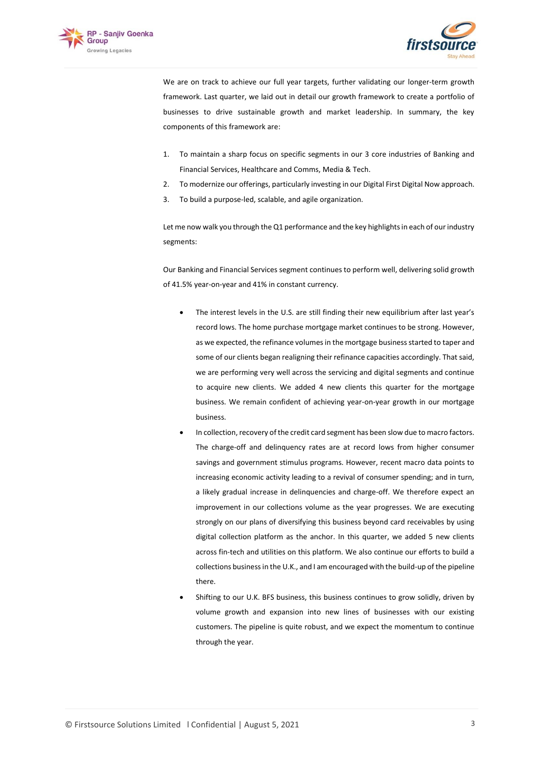



We are on track to achieve our full year targets, further validating our longer-term growth framework. Last quarter, we laid out in detail our growth framework to create a portfolio of businesses to drive sustainable growth and market leadership. In summary, the key components of this framework are:

- 1. To maintain a sharp focus on specific segments in our 3 core industries of Banking and Financial Services, Healthcare and Comms, Media & Tech.
- 2. To modernize our offerings, particularly investing in our Digital First Digital Now approach.
- 3. To build a purpose-led, scalable, and agile organization.

Let me now walk you through the Q1 performance and the key highlights in each of our industry segments:

Our Banking and Financial Services segment continues to perform well, delivering solid growth of 41.5% year-on-year and 41% in constant currency.

- The interest levels in the U.S. are still finding their new equilibrium after last year's record lows. The home purchase mortgage market continues to be strong. However, as we expected, the refinance volumes in the mortgage business started to taper and some of our clients began realigning their refinance capacities accordingly. That said, we are performing very well across the servicing and digital segments and continue to acquire new clients. We added 4 new clients this quarter for the mortgage business. We remain confident of achieving year-on-year growth in our mortgage business.
- In collection, recovery of the credit card segment has been slow due to macro factors. The charge-off and delinquency rates are at record lows from higher consumer savings and government stimulus programs. However, recent macro data points to increasing economic activity leading to a revival of consumer spending; and in turn, a likely gradual increase in delinquencies and charge-off. We therefore expect an improvement in our collections volume as the year progresses. We are executing strongly on our plans of diversifying this business beyond card receivables by using digital collection platform as the anchor. In this quarter, we added 5 new clients across fin-tech and utilities on this platform. We also continue our efforts to build a collections business in the U.K., and I am encouraged with the build-up of the pipeline there.
- Shifting to our U.K. BFS business, this business continues to grow solidly, driven by volume growth and expansion into new lines of businesses with our existing customers. The pipeline is quite robust, and we expect the momentum to continue through the year.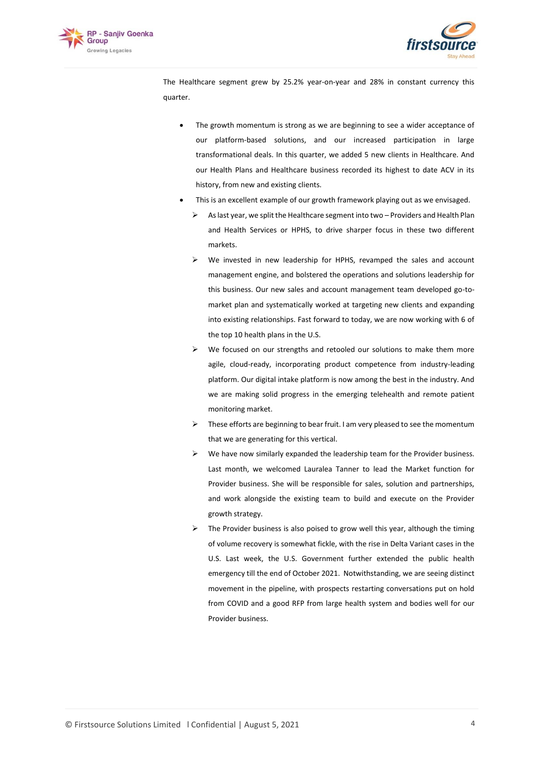



The Healthcare segment grew by 25.2% year-on-year and 28% in constant currency this quarter.

- The growth momentum is strong as we are beginning to see a wider acceptance of our platform-based solutions, and our increased participation in large transformational deals. In this quarter, we added 5 new clients in Healthcare. And our Health Plans and Healthcare business recorded its highest to date ACV in its history, from new and existing clients.
- This is an excellent example of our growth framework playing out as we envisaged.
	- $\triangleright$  As last year, we split the Healthcare segment into two Providers and Health Plan and Health Services or HPHS, to drive sharper focus in these two different markets.
	- We invested in new leadership for HPHS, revamped the sales and account management engine, and bolstered the operations and solutions leadership for this business. Our new sales and account management team developed go-tomarket plan and systematically worked at targeting new clients and expanding into existing relationships. Fast forward to today, we are now working with 6 of the top 10 health plans in the U.S.
	- ➢ We focused on our strengths and retooled our solutions to make them more agile, cloud-ready, incorporating product competence from industry-leading platform. Our digital intake platform is now among the best in the industry. And we are making solid progress in the emerging telehealth and remote patient monitoring market.
	- $\triangleright$  These efforts are beginning to bear fruit. I am very pleased to see the momentum that we are generating for this vertical.
	- $\triangleright$  We have now similarly expanded the leadership team for the Provider business. Last month, we welcomed Lauralea Tanner to lead the Market function for Provider business. She will be responsible for sales, solution and partnerships, and work alongside the existing team to build and execute on the Provider growth strategy.
	- ➢ The Provider business is also poised to grow well this year, although the timing of volume recovery is somewhat fickle, with the rise in Delta Variant cases in the U.S. Last week, the U.S. Government further extended the public health emergency till the end of October 2021. Notwithstanding, we are seeing distinct movement in the pipeline, with prospects restarting conversations put on hold from COVID and a good RFP from large health system and bodies well for our Provider business.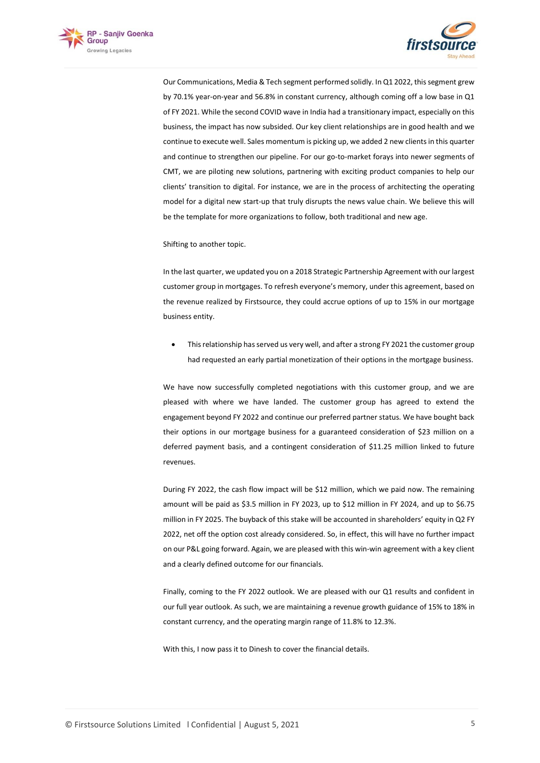



Our Communications, Media & Tech segment performed solidly. In Q1 2022, this segment grew by 70.1% year-on-year and 56.8% in constant currency, although coming off a low base in Q1 of FY 2021. While the second COVID wave in India had a transitionary impact, especially on this business, the impact has now subsided. Our key client relationships are in good health and we continue to execute well. Sales momentum is picking up, we added 2 new clients in this quarter and continue to strengthen our pipeline. For our go-to-market forays into newer segments of CMT, we are piloting new solutions, partnering with exciting product companies to help our clients' transition to digital. For instance, we are in the process of architecting the operating model for a digital new start-up that truly disrupts the news value chain. We believe this will be the template for more organizations to follow, both traditional and new age.

Shifting to another topic.

In the last quarter, we updated you on a 2018 Strategic Partnership Agreement with our largest customer group in mortgages. To refresh everyone's memory, under this agreement, based on the revenue realized by Firstsource, they could accrue options of up to 15% in our mortgage business entity.

• This relationship has served us very well, and after a strong FY 2021 the customer group had requested an early partial monetization of their options in the mortgage business.

We have now successfully completed negotiations with this customer group, and we are pleased with where we have landed. The customer group has agreed to extend the engagement beyond FY 2022 and continue our preferred partner status. We have bought back their options in our mortgage business for a guaranteed consideration of \$23 million on a deferred payment basis, and a contingent consideration of \$11.25 million linked to future revenues.

During FY 2022, the cash flow impact will be \$12 million, which we paid now. The remaining amount will be paid as \$3.5 million in FY 2023, up to \$12 million in FY 2024, and up to \$6.75 million in FY 2025. The buyback of this stake will be accounted in shareholders' equity in Q2 FY 2022, net off the option cost already considered. So, in effect, this will have no further impact on our P&L going forward. Again, we are pleased with this win-win agreement with a key client and a clearly defined outcome for our financials.

Finally, coming to the FY 2022 outlook. We are pleased with our Q1 results and confident in our full year outlook. As such, we are maintaining a revenue growth guidance of 15% to 18% in constant currency, and the operating margin range of 11.8% to 12.3%.

With this, I now pass it to Dinesh to cover the financial details.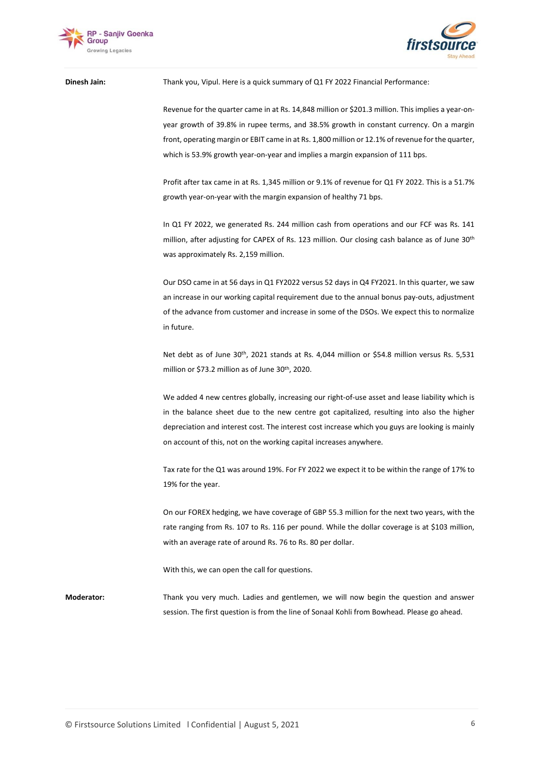



### **Dinesh Jain:** Thank you, Vipul. Here is a quick summary of Q1 FY 2022 Financial Performance:

Revenue for the quarter came in at Rs. 14,848 million or \$201.3 million. This implies a year-onyear growth of 39.8% in rupee terms, and 38.5% growth in constant currency. On a margin front, operating margin or EBIT came in at Rs. 1,800 million or 12.1% of revenue for the quarter, which is 53.9% growth year-on-year and implies a margin expansion of 111 bps.

Profit after tax came in at Rs. 1,345 million or 9.1% of revenue for Q1 FY 2022. This is a 51.7% growth year-on-year with the margin expansion of healthy 71 bps.

In Q1 FY 2022, we generated Rs. 244 million cash from operations and our FCF was Rs. 141 million, after adjusting for CAPEX of Rs. 123 million. Our closing cash balance as of June 30th was approximately Rs. 2,159 million.

Our DSO came in at 56 days in Q1 FY2022 versus 52 days in Q4 FY2021. In this quarter, we saw an increase in our working capital requirement due to the annual bonus pay-outs, adjustment of the advance from customer and increase in some of the DSOs. We expect this to normalize in future.

Net debt as of June 30<sup>th</sup>, 2021 stands at Rs. 4,044 million or \$54.8 million versus Rs. 5,531 million or \$73.2 million as of June 30<sup>th</sup>, 2020.

We added 4 new centres globally, increasing our right-of-use asset and lease liability which is in the balance sheet due to the new centre got capitalized, resulting into also the higher depreciation and interest cost. The interest cost increase which you guys are looking is mainly on account of this, not on the working capital increases anywhere.

Tax rate for the Q1 was around 19%. For FY 2022 we expect it to be within the range of 17% to 19% for the year.

On our FOREX hedging, we have coverage of GBP 55.3 million for the next two years, with the rate ranging from Rs. 107 to Rs. 116 per pound. While the dollar coverage is at \$103 million, with an average rate of around Rs. 76 to Rs. 80 per dollar.

With this, we can open the call for questions.

**Moderator:** Thank you very much. Ladies and gentlemen, we will now begin the question and answer session. The first question is from the line of Sonaal Kohli from Bowhead. Please go ahead.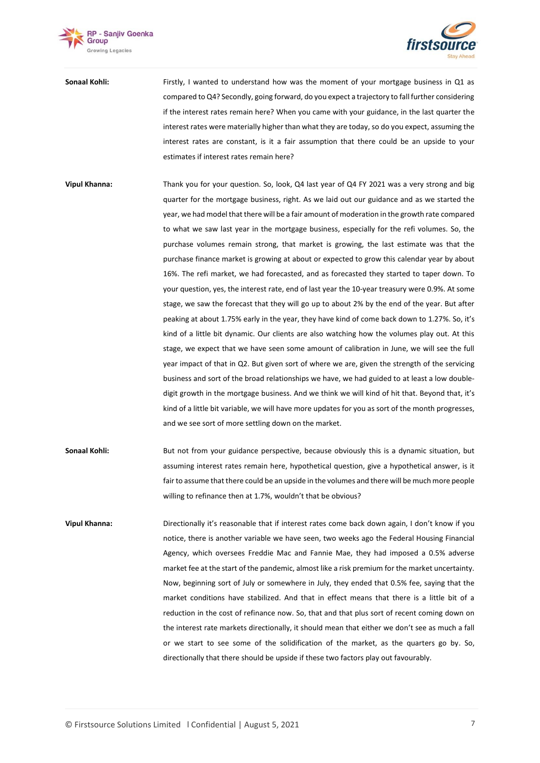



**Sonaal Kohli:** Firstly, I wanted to understand how was the moment of your mortgage business in Q1 as compared to Q4? Secondly, going forward, do you expect a trajectory to fall further considering if the interest rates remain here? When you came with your guidance, in the last quarter the interest rates were materially higher than what they are today, so do you expect, assuming the interest rates are constant, is it a fair assumption that there could be an upside to your estimates if interest rates remain here?

**Vipul Khanna:** Thank you for your question. So, look, Q4 last year of Q4 FY 2021 was a very strong and big quarter for the mortgage business, right. As we laid out our guidance and as we started the year, we had model that there will be a fair amount of moderation in the growth rate compared to what we saw last year in the mortgage business, especially for the refi volumes. So, the purchase volumes remain strong, that market is growing, the last estimate was that the purchase finance market is growing at about or expected to grow this calendar year by about 16%. The refi market, we had forecasted, and as forecasted they started to taper down. To your question, yes, the interest rate, end of last year the 10-year treasury were 0.9%. At some stage, we saw the forecast that they will go up to about 2% by the end of the year. But after peaking at about 1.75% early in the year, they have kind of come back down to 1.27%. So, it's kind of a little bit dynamic. Our clients are also watching how the volumes play out. At this stage, we expect that we have seen some amount of calibration in June, we will see the full year impact of that in Q2. But given sort of where we are, given the strength of the servicing business and sort of the broad relationships we have, we had guided to at least a low doubledigit growth in the mortgage business. And we think we will kind of hit that. Beyond that, it's kind of a little bit variable, we will have more updates for you as sort of the month progresses, and we see sort of more settling down on the market.

**Sonaal Kohli:** But not from your guidance perspective, because obviously this is a dynamic situation, but assuming interest rates remain here, hypothetical question, give a hypothetical answer, is it fair to assume that there could be an upside in the volumes and there will be much more people willing to refinance then at 1.7%, wouldn't that be obvious?

**Vipul Khanna:** Directionally it's reasonable that if interest rates come back down again, I don't know if you notice, there is another variable we have seen, two weeks ago the Federal Housing Financial Agency, which oversees Freddie Mac and Fannie Mae, they had imposed a 0.5% adverse market fee at the start of the pandemic, almost like a risk premium for the market uncertainty. Now, beginning sort of July or somewhere in July, they ended that 0.5% fee, saying that the market conditions have stabilized. And that in effect means that there is a little bit of a reduction in the cost of refinance now. So, that and that plus sort of recent coming down on the interest rate markets directionally, it should mean that either we don't see as much a fall or we start to see some of the solidification of the market, as the quarters go by. So, directionally that there should be upside if these two factors play out favourably.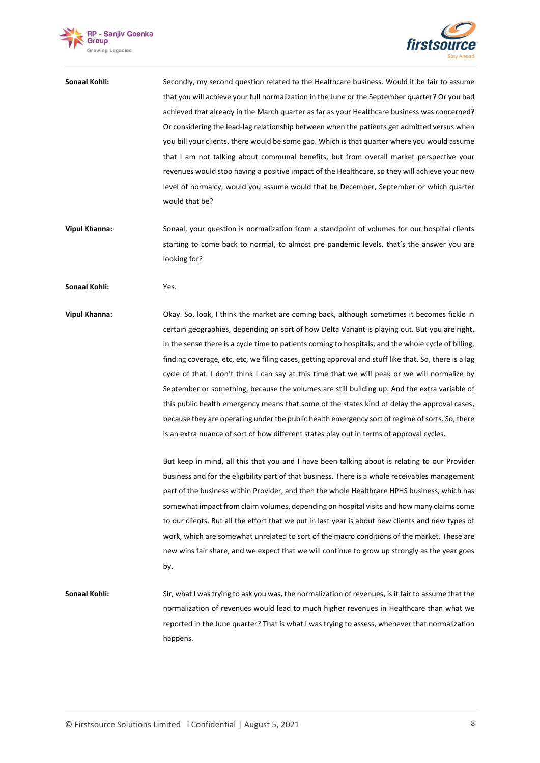



**Sonaal Kohli:** Secondly, my second question related to the Healthcare business. Would it be fair to assume that you will achieve your full normalization in the June or the September quarter? Or you had achieved that already in the March quarter as far as your Healthcare business was concerned? Or considering the lead-lag relationship between when the patients get admitted versus when you bill your clients, there would be some gap. Which is that quarter where you would assume that I am not talking about communal benefits, but from overall market perspective your revenues would stop having a positive impact of the Healthcare, so they will achieve your new level of normalcy, would you assume would that be December, September or which quarter would that be?

**Vipul Khanna:** Sonaal, your question is normalization from a standpoint of volumes for our hospital clients starting to come back to normal, to almost pre pandemic levels, that's the answer you are looking for?

**Sonaal Kohli:** Yes.

**Vipul Khanna:** Okay. So, look, I think the market are coming back, although sometimes it becomes fickle in certain geographies, depending on sort of how Delta Variant is playing out. But you are right, in the sense there is a cycle time to patients coming to hospitals, and the whole cycle of billing, finding coverage, etc, etc, we filing cases, getting approval and stuff like that. So, there is a lag cycle of that. I don't think I can say at this time that we will peak or we will normalize by September or something, because the volumes are still building up. And the extra variable of this public health emergency means that some of the states kind of delay the approval cases, because they are operating under the public health emergency sort of regime of sorts. So, there is an extra nuance of sort of how different states play out in terms of approval cycles.

> But keep in mind, all this that you and I have been talking about is relating to our Provider business and for the eligibility part of that business. There is a whole receivables management part of the business within Provider, and then the whole Healthcare HPHS business, which has somewhat impact from claim volumes, depending on hospital visits and how many claims come to our clients. But all the effort that we put in last year is about new clients and new types of work, which are somewhat unrelated to sort of the macro conditions of the market. These are new wins fair share, and we expect that we will continue to grow up strongly as the year goes by.

## **Sonaal Kohli:** Sir, what I was trying to ask you was, the normalization of revenues, is it fair to assume that the normalization of revenues would lead to much higher revenues in Healthcare than what we reported in the June quarter? That is what I was trying to assess, whenever that normalization happens.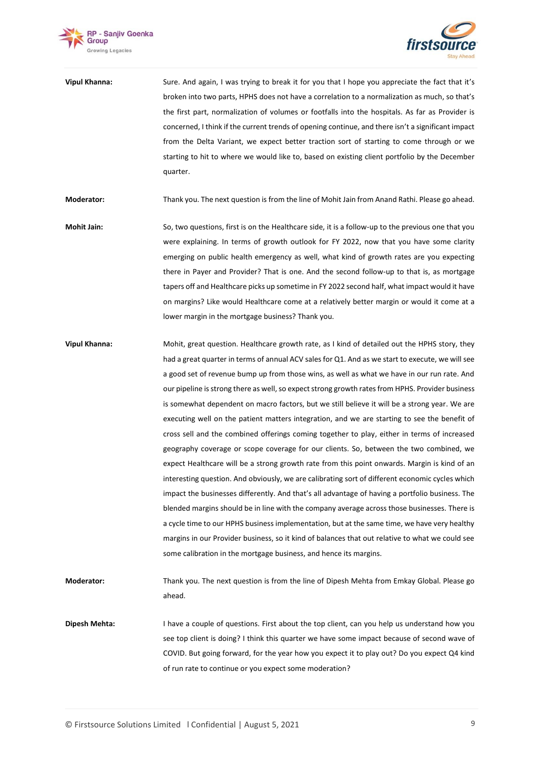



| <b>Vipul Khanna:</b> | Sure. And again, I was trying to break it for you that I hope you appreciate the fact that it's    |
|----------------------|----------------------------------------------------------------------------------------------------|
|                      | broken into two parts, HPHS does not have a correlation to a normalization as much, so that's      |
|                      | the first part, normalization of volumes or footfalls into the hospitals. As far as Provider is    |
|                      | concerned, I think if the current trends of opening continue, and there isn't a significant impact |
|                      | from the Delta Variant, we expect better traction sort of starting to come through or we           |
|                      | starting to hit to where we would like to, based on existing client portfolio by the December      |
|                      | quarter.                                                                                           |

**Moderator:** Thank you. The next question is from the line of Mohit Jain from Anand Rathi. Please go ahead.

- **Mohit Jain:** So, two questions, first is on the Healthcare side, it is a follow-up to the previous one that you were explaining. In terms of growth outlook for FY 2022, now that you have some clarity emerging on public health emergency as well, what kind of growth rates are you expecting there in Payer and Provider? That is one. And the second follow-up to that is, as mortgage tapers off and Healthcare picks up sometime in FY 2022 second half, what impact would it have on margins? Like would Healthcare come at a relatively better margin or would it come at a lower margin in the mortgage business? Thank you.
- **Vipul Khanna:** Mohit, great question. Healthcare growth rate, as I kind of detailed out the HPHS story, they had a great quarter in terms of annual ACV sales for Q1. And as we start to execute, we will see a good set of revenue bump up from those wins, as well as what we have in our run rate. And our pipeline is strong there as well, so expect strong growth rates from HPHS. Provider business is somewhat dependent on macro factors, but we still believe it will be a strong year. We are executing well on the patient matters integration, and we are starting to see the benefit of cross sell and the combined offerings coming together to play, either in terms of increased geography coverage or scope coverage for our clients. So, between the two combined, we expect Healthcare will be a strong growth rate from this point onwards. Margin is kind of an interesting question. And obviously, we are calibrating sort of different economic cycles which impact the businesses differently. And that's all advantage of having a portfolio business. The blended margins should be in line with the company average across those businesses. There is a cycle time to our HPHS business implementation, but at the same time, we have very healthy margins in our Provider business, so it kind of balances that out relative to what we could see some calibration in the mortgage business, and hence its margins.

**Moderator:** Thank you. The next question is from the line of Dipesh Mehta from Emkay Global. Please go ahead.

**Dipesh Mehta:** I have a couple of questions. First about the top client, can you help us understand how you see top client is doing? I think this quarter we have some impact because of second wave of COVID. But going forward, for the year how you expect it to play out? Do you expect Q4 kind of run rate to continue or you expect some moderation?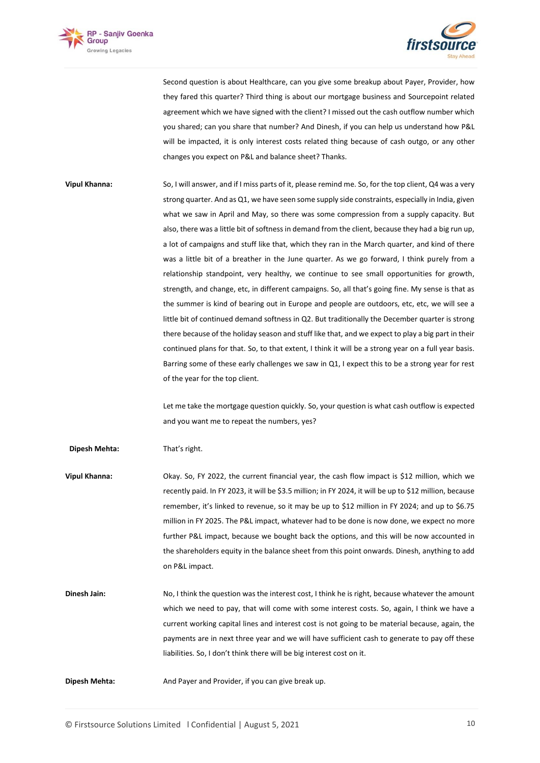



Second question is about Healthcare, can you give some breakup about Payer, Provider, how they fared this quarter? Third thing is about our mortgage business and Sourcepoint related agreement which we have signed with the client? I missed out the cash outflow number which you shared; can you share that number? And Dinesh, if you can help us understand how P&L will be impacted, it is only interest costs related thing because of cash outgo, or any other changes you expect on P&L and balance sheet? Thanks.

**Vipul Khanna:** So, I will answer, and if I miss parts of it, please remind me. So, for the top client, Q4 was a very strong quarter. And as Q1, we have seen some supply side constraints, especially in India, given what we saw in April and May, so there was some compression from a supply capacity. But also, there was a little bit of softness in demand from the client, because they had a big run up, a lot of campaigns and stuff like that, which they ran in the March quarter, and kind of there was a little bit of a breather in the June quarter. As we go forward, I think purely from a relationship standpoint, very healthy, we continue to see small opportunities for growth, strength, and change, etc, in different campaigns. So, all that's going fine. My sense is that as the summer is kind of bearing out in Europe and people are outdoors, etc, etc, we will see a little bit of continued demand softness in Q2. But traditionally the December quarter is strong there because of the holiday season and stuff like that, and we expect to play a big part in their continued plans for that. So, to that extent, I think it will be a strong year on a full year basis. Barring some of these early challenges we saw in Q1, I expect this to be a strong year for rest of the year for the top client.

> Let me take the mortgage question quickly. So, your question is what cash outflow is expected and you want me to repeat the numbers, yes?

**Dipesh Mehta:** That's right.

**Vipul Khanna:** Okay. So, FY 2022, the current financial year, the cash flow impact is \$12 million, which we recently paid. In FY 2023, it will be \$3.5 million; in FY 2024, it will be up to \$12 million, because remember, it's linked to revenue, so it may be up to \$12 million in FY 2024; and up to \$6.75 million in FY 2025. The P&L impact, whatever had to be done is now done, we expect no more further P&L impact, because we bought back the options, and this will be now accounted in the shareholders equity in the balance sheet from this point onwards. Dinesh, anything to add on P&L impact.

- **Dinesh Jain:** No, I think the question was the interest cost, I think he is right, because whatever the amount which we need to pay, that will come with some interest costs. So, again, I think we have a current working capital lines and interest cost is not going to be material because, again, the payments are in next three year and we will have sufficient cash to generate to pay off these liabilities. So, I don't think there will be big interest cost on it.
- **Dipesh Mehta:** And Payer and Provider, if you can give break up.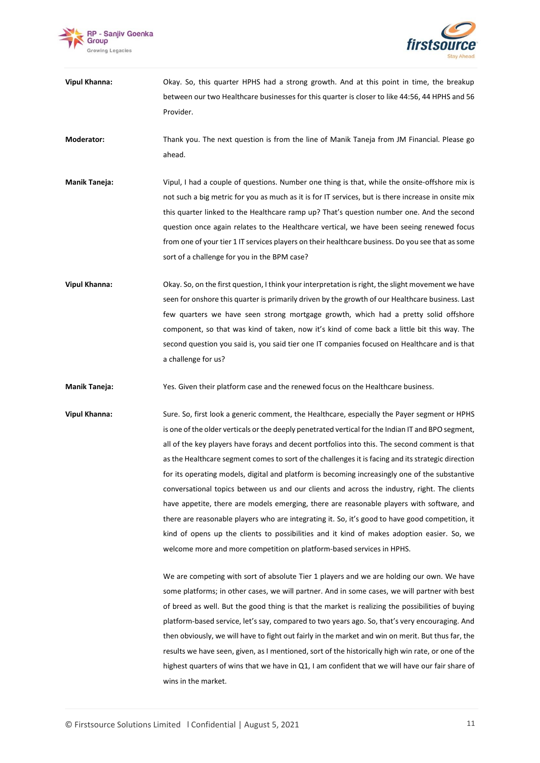



**Vipul Khanna:** Okay. So, this quarter HPHS had a strong growth. And at this point in time, the breakup between our two Healthcare businesses for this quarter is closer to like 44:56, 44 HPHS and 56 Provider.

**Moderator:** Thank you. The next question is from the line of Manik Taneja from JM Financial. Please go ahead.

- **Manik Taneja:** Vipul, I had a couple of questions. Number one thing is that, while the onsite-offshore mix is not such a big metric for you as much as it is for IT services, but is there increase in onsite mix this quarter linked to the Healthcare ramp up? That's question number one. And the second question once again relates to the Healthcare vertical, we have been seeing renewed focus from one of your tier 1 IT services players on their healthcare business. Do you see that as some sort of a challenge for you in the BPM case?
- **Vipul Khanna:** Okay. So, on the first question, I think your interpretation is right, the slight movement we have seen for onshore this quarter is primarily driven by the growth of our Healthcare business. Last few quarters we have seen strong mortgage growth, which had a pretty solid offshore component, so that was kind of taken, now it's kind of come back a little bit this way. The second question you said is, you said tier one IT companies focused on Healthcare and is that a challenge for us?

**Manik Taneja:** Yes. Given their platform case and the renewed focus on the Healthcare business.

**Vipul Khanna:** Sure. So, first look a generic comment, the Healthcare, especially the Payer segment or HPHS is one of the older verticals or the deeply penetrated vertical for the Indian IT and BPO segment, all of the key players have forays and decent portfolios into this. The second comment is that as the Healthcare segment comes to sort of the challenges it is facing and its strategic direction for its operating models, digital and platform is becoming increasingly one of the substantive conversational topics between us and our clients and across the industry, right. The clients have appetite, there are models emerging, there are reasonable players with software, and there are reasonable players who are integrating it. So, it's good to have good competition, it kind of opens up the clients to possibilities and it kind of makes adoption easier. So, we welcome more and more competition on platform-based services in HPHS.

> We are competing with sort of absolute Tier 1 players and we are holding our own. We have some platforms; in other cases, we will partner. And in some cases, we will partner with best of breed as well. But the good thing is that the market is realizing the possibilities of buying platform-based service, let's say, compared to two years ago. So, that's very encouraging. And then obviously, we will have to fight out fairly in the market and win on merit. But thus far, the results we have seen, given, as I mentioned, sort of the historically high win rate, or one of the highest quarters of wins that we have in Q1, I am confident that we will have our fair share of wins in the market.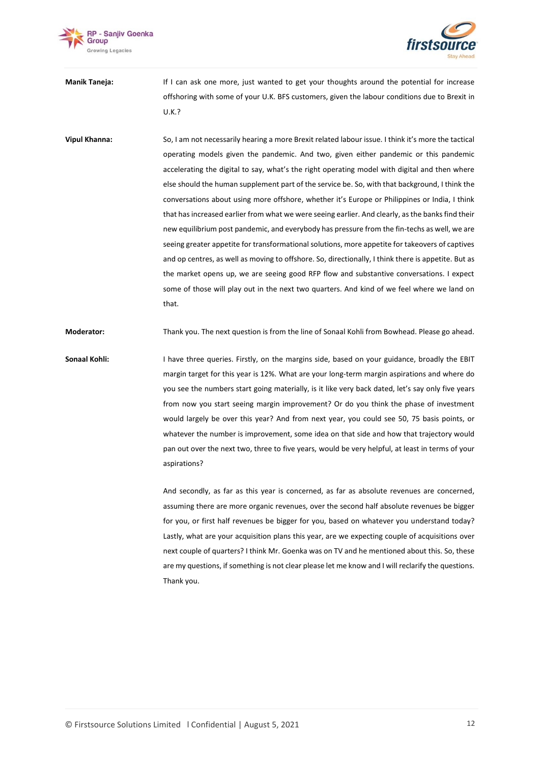



**Manik Taneja:** If I can ask one more, just wanted to get your thoughts around the potential for increase offshoring with some of your U.K. BFS customers, given the labour conditions due to Brexit in U.K.?

**Vipul Khanna:** So, I am not necessarily hearing a more Brexit related labour issue. I think it's more the tactical operating models given the pandemic. And two, given either pandemic or this pandemic accelerating the digital to say, what's the right operating model with digital and then where else should the human supplement part of the service be. So, with that background, I think the conversations about using more offshore, whether it's Europe or Philippines or India, I think that has increased earlier from what we were seeing earlier. And clearly, as the banksfind their new equilibrium post pandemic, and everybody has pressure from the fin-techs as well, we are seeing greater appetite for transformational solutions, more appetite for takeovers of captives and op centres, as well as moving to offshore. So, directionally, I think there is appetite. But as the market opens up, we are seeing good RFP flow and substantive conversations. I expect some of those will play out in the next two quarters. And kind of we feel where we land on that.

**Moderator:** Thank you. The next question is from the line of Sonaal Kohli from Bowhead. Please go ahead.

**Sonaal Kohli:** I have three queries. Firstly, on the margins side, based on your guidance, broadly the EBIT margin target for this year is 12%. What are your long-term margin aspirations and where do you see the numbers start going materially, is it like very back dated, let's say only five years from now you start seeing margin improvement? Or do you think the phase of investment would largely be over this year? And from next year, you could see 50, 75 basis points, or whatever the number is improvement, some idea on that side and how that trajectory would pan out over the next two, three to five years, would be very helpful, at least in terms of your aspirations?

> And secondly, as far as this year is concerned, as far as absolute revenues are concerned, assuming there are more organic revenues, over the second half absolute revenues be bigger for you, or first half revenues be bigger for you, based on whatever you understand today? Lastly, what are your acquisition plans this year, are we expecting couple of acquisitions over next couple of quarters? I think Mr. Goenka was on TV and he mentioned about this. So, these are my questions, if something is not clear please let me know and I will reclarify the questions. Thank you.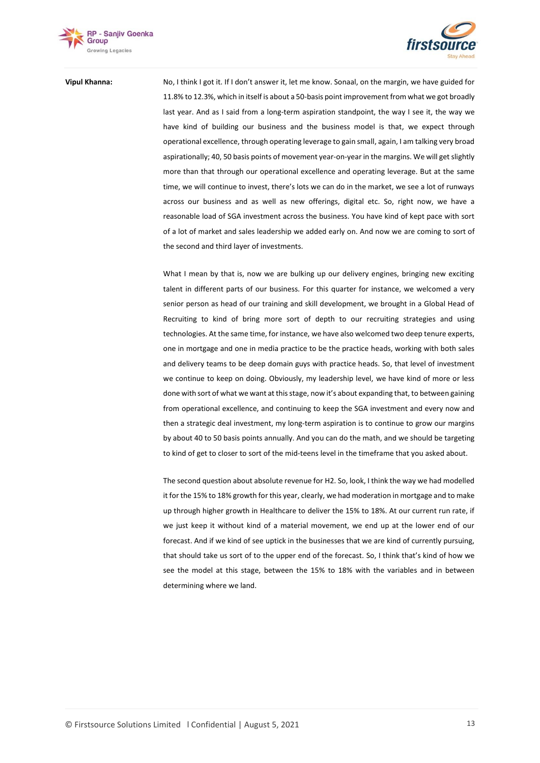



**Vipul Khanna:** No, I think I got it. If I don't answer it, let me know. Sonaal, on the margin, we have guided for 11.8% to 12.3%, which in itself is about a 50-basis point improvement from what we got broadly last year. And as I said from a long-term aspiration standpoint, the way I see it, the way we have kind of building our business and the business model is that, we expect through operational excellence, through operating leverage to gain small, again, I am talking very broad aspirationally; 40, 50 basis points of movement year-on-year in the margins. We will get slightly more than that through our operational excellence and operating leverage. But at the same time, we will continue to invest, there's lots we can do in the market, we see a lot of runways across our business and as well as new offerings, digital etc. So, right now, we have a reasonable load of SGA investment across the business. You have kind of kept pace with sort of a lot of market and sales leadership we added early on. And now we are coming to sort of the second and third layer of investments.

> What I mean by that is, now we are bulking up our delivery engines, bringing new exciting talent in different parts of our business. For this quarter for instance, we welcomed a very senior person as head of our training and skill development, we brought in a Global Head of Recruiting to kind of bring more sort of depth to our recruiting strategies and using technologies. At the same time, for instance, we have also welcomed two deep tenure experts, one in mortgage and one in media practice to be the practice heads, working with both sales and delivery teams to be deep domain guys with practice heads. So, that level of investment we continue to keep on doing. Obviously, my leadership level, we have kind of more or less done with sort of what we want at this stage, now it's about expanding that, to between gaining from operational excellence, and continuing to keep the SGA investment and every now and then a strategic deal investment, my long-term aspiration is to continue to grow our margins by about 40 to 50 basis points annually. And you can do the math, and we should be targeting to kind of get to closer to sort of the mid-teens level in the timeframe that you asked about.

> The second question about absolute revenue for H2. So, look, I think the way we had modelled it for the 15% to 18% growth for this year, clearly, we had moderation in mortgage and to make up through higher growth in Healthcare to deliver the 15% to 18%. At our current run rate, if we just keep it without kind of a material movement, we end up at the lower end of our forecast. And if we kind of see uptick in the businesses that we are kind of currently pursuing, that should take us sort of to the upper end of the forecast. So, I think that's kind of how we see the model at this stage, between the 15% to 18% with the variables and in between determining where we land.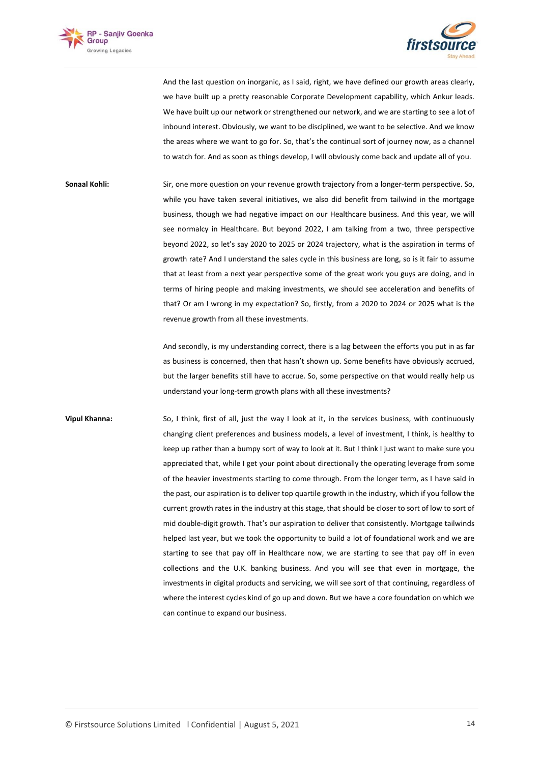



And the last question on inorganic, as I said, right, we have defined our growth areas clearly, we have built up a pretty reasonable Corporate Development capability, which Ankur leads. We have built up our network or strengthened our network, and we are starting to see a lot of inbound interest. Obviously, we want to be disciplined, we want to be selective. And we know the areas where we want to go for. So, that's the continual sort of journey now, as a channel to watch for. And as soon as things develop, I will obviously come back and update all of you.

**Sonaal Kohli:** Sir, one more question on your revenue growth trajectory from a longer-term perspective. So, while you have taken several initiatives, we also did benefit from tailwind in the mortgage business, though we had negative impact on our Healthcare business. And this year, we will see normalcy in Healthcare. But beyond 2022, I am talking from a two, three perspective beyond 2022, so let's say 2020 to 2025 or 2024 trajectory, what is the aspiration in terms of growth rate? And I understand the sales cycle in this business are long, so is it fair to assume that at least from a next year perspective some of the great work you guys are doing, and in terms of hiring people and making investments, we should see acceleration and benefits of that? Or am I wrong in my expectation? So, firstly, from a 2020 to 2024 or 2025 what is the revenue growth from all these investments.

> And secondly, is my understanding correct, there is a lag between the efforts you put in as far as business is concerned, then that hasn't shown up. Some benefits have obviously accrued, but the larger benefits still have to accrue. So, some perspective on that would really help us understand your long-term growth plans with all these investments?

**Vipul Khanna:** So, I think, first of all, just the way I look at it, in the services business, with continuously changing client preferences and business models, a level of investment, I think, is healthy to keep up rather than a bumpy sort of way to look at it. But I think I just want to make sure you appreciated that, while I get your point about directionally the operating leverage from some of the heavier investments starting to come through. From the longer term, as I have said in the past, our aspiration is to deliver top quartile growth in the industry, which if you follow the current growth rates in the industry at this stage, that should be closer to sort of low to sort of mid double-digit growth. That's our aspiration to deliver that consistently. Mortgage tailwinds helped last year, but we took the opportunity to build a lot of foundational work and we are starting to see that pay off in Healthcare now, we are starting to see that pay off in even collections and the U.K. banking business. And you will see that even in mortgage, the investments in digital products and servicing, we will see sort of that continuing, regardless of where the interest cycles kind of go up and down. But we have a core foundation on which we can continue to expand our business.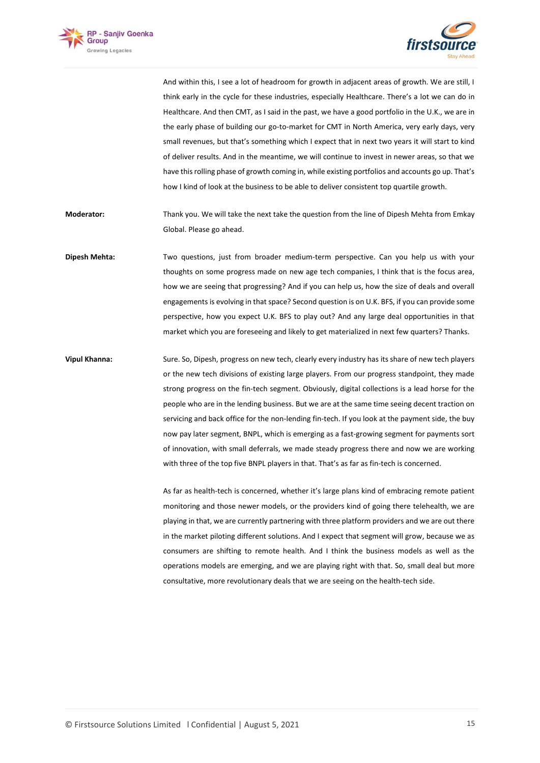



And within this, I see a lot of headroom for growth in adjacent areas of growth. We are still, I think early in the cycle for these industries, especially Healthcare. There's a lot we can do in Healthcare. And then CMT, as I said in the past, we have a good portfolio in the U.K., we are in the early phase of building our go-to-market for CMT in North America, very early days, very small revenues, but that's something which I expect that in next two years it will start to kind of deliver results. And in the meantime, we will continue to invest in newer areas, so that we have this rolling phase of growth coming in, while existing portfolios and accounts go up. That's how I kind of look at the business to be able to deliver consistent top quartile growth.

**Moderator:** Thank you. We will take the next take the question from the line of Dipesh Mehta from Emkay Global. Please go ahead.

**Dipesh Mehta:** Two questions, just from broader medium-term perspective. Can you help us with your thoughts on some progress made on new age tech companies, I think that is the focus area, how we are seeing that progressing? And if you can help us, how the size of deals and overall engagements is evolving in that space? Second question is on U.K. BFS, if you can provide some perspective, how you expect U.K. BFS to play out? And any large deal opportunities in that market which you are foreseeing and likely to get materialized in next few quarters? Thanks.

**Vipul Khanna:** Sure. So, Dipesh, progress on new tech, clearly every industry has its share of new tech players or the new tech divisions of existing large players. From our progress standpoint, they made strong progress on the fin-tech segment. Obviously, digital collections is a lead horse for the people who are in the lending business. But we are at the same time seeing decent traction on servicing and back office for the non-lending fin-tech. If you look at the payment side, the buy now pay later segment, BNPL, which is emerging as a fast-growing segment for payments sort of innovation, with small deferrals, we made steady progress there and now we are working with three of the top five BNPL players in that. That's as far as fin-tech is concerned.

> As far as health-tech is concerned, whether it's large plans kind of embracing remote patient monitoring and those newer models, or the providers kind of going there telehealth, we are playing in that, we are currently partnering with three platform providers and we are out there in the market piloting different solutions. And I expect that segment will grow, because we as consumers are shifting to remote health. And I think the business models as well as the operations models are emerging, and we are playing right with that. So, small deal but more consultative, more revolutionary deals that we are seeing on the health-tech side.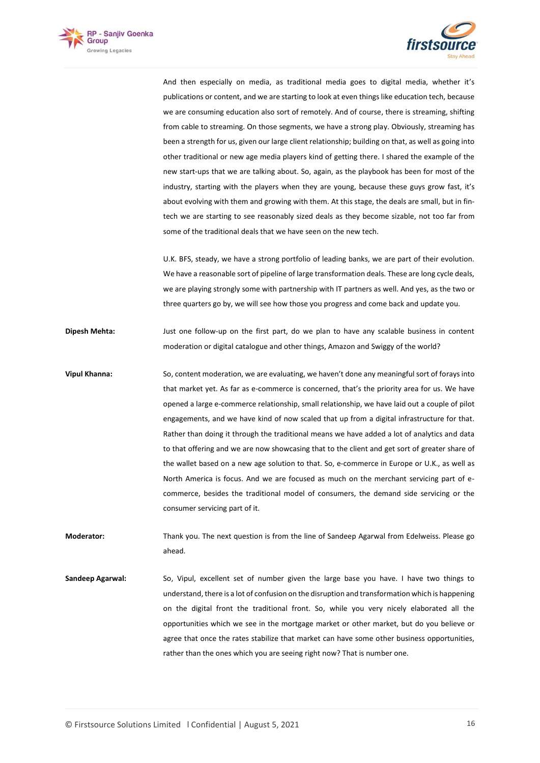



And then especially on media, as traditional media goes to digital media, whether it's publications or content, and we are starting to look at even things like education tech, because we are consuming education also sort of remotely. And of course, there is streaming, shifting from cable to streaming. On those segments, we have a strong play. Obviously, streaming has been a strength for us, given our large client relationship; building on that, as well as going into other traditional or new age media players kind of getting there. I shared the example of the new start-ups that we are talking about. So, again, as the playbook has been for most of the industry, starting with the players when they are young, because these guys grow fast, it's about evolving with them and growing with them. At this stage, the deals are small, but in fintech we are starting to see reasonably sized deals as they become sizable, not too far from some of the traditional deals that we have seen on the new tech.

U.K. BFS, steady, we have a strong portfolio of leading banks, we are part of their evolution. We have a reasonable sort of pipeline of large transformation deals. These are long cycle deals, we are playing strongly some with partnership with IT partners as well. And yes, as the two or three quarters go by, we will see how those you progress and come back and update you.

**Dipesh Mehta:** Just one follow-up on the first part, do we plan to have any scalable business in content moderation or digital catalogue and other things, Amazon and Swiggy of the world?

**Vipul Khanna:** So, content moderation, we are evaluating, we haven't done any meaningful sort of forays into that market yet. As far as e-commerce is concerned, that's the priority area for us. We have opened a large e-commerce relationship, small relationship, we have laid out a couple of pilot engagements, and we have kind of now scaled that up from a digital infrastructure for that. Rather than doing it through the traditional means we have added a lot of analytics and data to that offering and we are now showcasing that to the client and get sort of greater share of the wallet based on a new age solution to that. So, e-commerce in Europe or U.K., as well as North America is focus. And we are focused as much on the merchant servicing part of ecommerce, besides the traditional model of consumers, the demand side servicing or the consumer servicing part of it.

**Moderator:** Thank you. The next question is from the line of Sandeep Agarwal from Edelweiss. Please go ahead.

**Sandeep Agarwal:** So, Vipul, excellent set of number given the large base you have. I have two things to understand, there is a lot of confusion on the disruption and transformation which is happening on the digital front the traditional front. So, while you very nicely elaborated all the opportunities which we see in the mortgage market or other market, but do you believe or agree that once the rates stabilize that market can have some other business opportunities, rather than the ones which you are seeing right now? That is number one.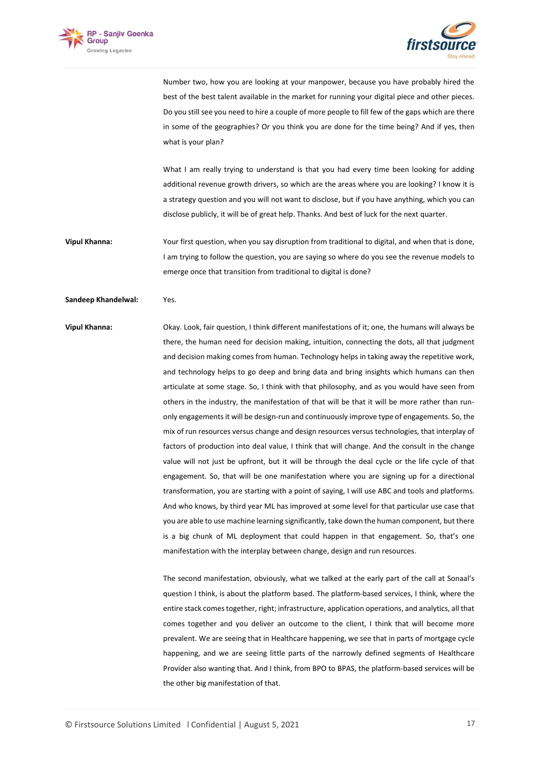



Number two, how you are looking at your manpower, because you have probably hired the best of the best talent available in the market for running your digital piece and other pieces. Do you still see you need to hire a couple of more people to fill few of the gaps which are there in some of the geographies? Or you think you are done for the time being? And if yes, then what is your plan?

What I am really trying to understand is that you had every time been looking for adding additional revenue growth drivers, so which are the areas where you are looking? I know it is a strategy question and you will not want to disclose, but if you have anything, which you can disclose publicly, it will be of great help. Thanks. And best of luck for the next quarter.

**Vipul Khanna:** Your first question, when you say disruption from traditional to digital, and when that is done, I am trying to follow the question, you are saying so where do you see the revenue models to emerge once that transition from traditional to digital is done?

### **Sandeep Khandelwal:** Yes.

**Vipul Khanna:** Okay. Look, fair question, I think different manifestations of it; one, the humans will always be there, the human need for decision making, intuition, connecting the dots, all that judgment and decision making comes from human. Technology helps in taking away the repetitive work, and technology helps to go deep and bring data and bring insights which humans can then articulate at some stage. So, I think with that philosophy, and as you would have seen from others in the industry, the manifestation of that will be that it will be more rather than runonly engagements it will be design-run and continuously improve type of engagements. So, the mix of run resources versus change and design resources versus technologies, that interplay of factors of production into deal value, I think that will change. And the consult in the change value will not just be upfront, but it will be through the deal cycle or the life cycle of that engagement. So, that will be one manifestation where you are signing up for a directional transformation, you are starting with a point of saying, I will use ABC and tools and platforms. And who knows, by third year ML has improved at some level for that particular use case that you are able to use machine learning significantly, take down the human component, but there is a big chunk of ML deployment that could happen in that engagement. So, that's one manifestation with the interplay between change, design and run resources.

> The second manifestation, obviously, what we talked at the early part of the call at Sonaal's question I think, is about the platform based. The platform-based services, I think, where the entire stack comes together, right; infrastructure, application operations, and analytics, all that comes together and you deliver an outcome to the client, I think that will become more prevalent. We are seeing that in Healthcare happening, we see that in parts of mortgage cycle happening, and we are seeing little parts of the narrowly defined segments of Healthcare Provider also wanting that. And I think, from BPO to BPAS, the platform-based services will be the other big manifestation of that.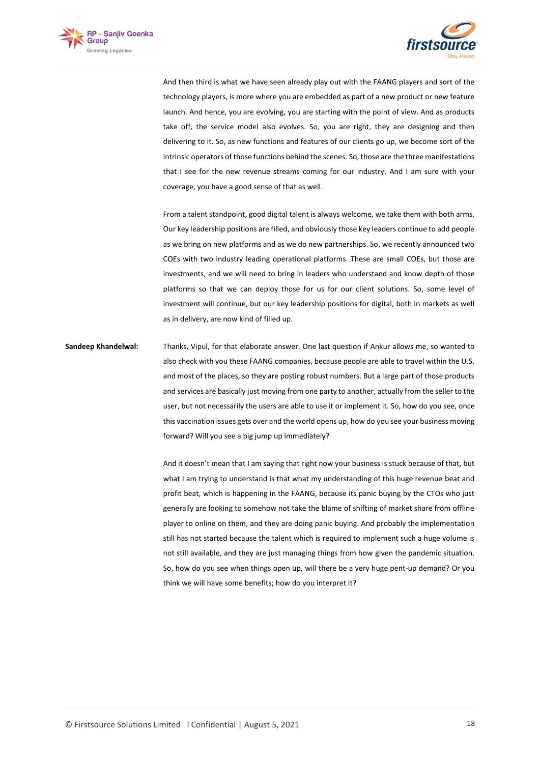



And then third is what we have seen already play out with the FAANG players and sort of the technology players, is more where you are embedded as part of a new product or new feature launch. And hence, you are evolving, you are starting with the point of view. And as products take off, the service model also evolves. So, you are right, they are designing and then delivering to it. So, as new functions and features of our clients go up, we become sort of the intrinsic operators of those functions behind the scenes. So, those are the three manifestations that I see for the new revenue streams coming for our industry. And I am sure with your coverage, you have a good sense of that as well.

From a talent standpoint, good digital talent is always welcome, we take them with both arms. Our key leadership positions are filled, and obviously those key leaders continue to add people as we bring on new platforms and as we do new partnerships. So, we recently announced two COEs with two industry leading operational platforms. These are small COEs, but those are investments, and we will need to bring in leaders who understand and know depth of those platforms so that we can deploy those for us for our client solutions. So, some level of investment will continue, but our key leadership positions for digital, both in markets as well as in delivery, are now kind of filled up.

**Sandeep Khandelwal:** Thanks, Vipul, for that elaborate answer. One last question if Ankur allows me, so wanted to also check with you these FAANG companies, because people are able to travel within the U.S. and most of the places, so they are posting robust numbers. But a large part of those products and services are basically just moving from one party to another, actually from the seller to the user, but not necessarily the users are able to use it or implement it. So, how do you see, once this vaccination issues gets over and the world opens up, how do you see your business moving forward? Will you see a big jump up immediately?

> And it doesn't mean that I am saying that right now your business is stuck because of that, but what I am trying to understand is that what my understanding of this huge revenue beat and profit beat, which is happening in the FAANG, because its panic buying by the CTOs who just generally are looking to somehow not take the blame of shifting of market share from offline player to online on them, and they are doing panic buying. And probably the implementation still has not started because the talent which is required to implement such a huge volume is not still available, and they are just managing things from how given the pandemic situation. So, how do you see when things open up, will there be a very huge pent-up demand? Or you think we will have some benefits; how do you interpret it?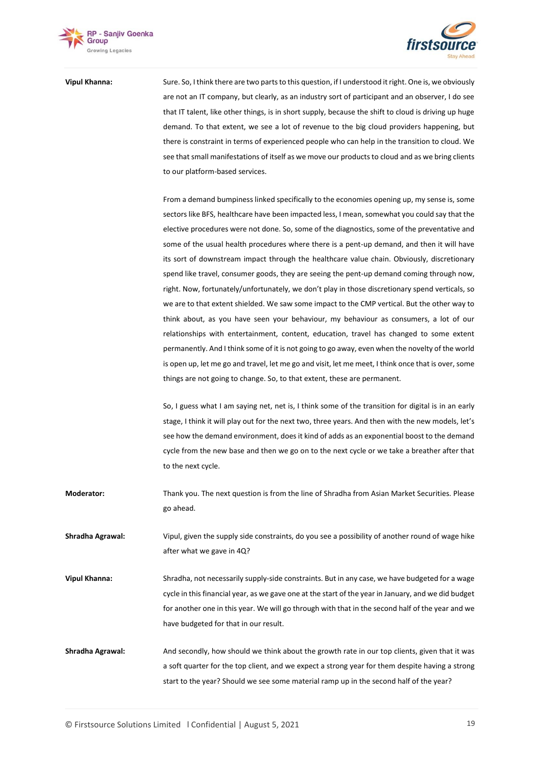



**Vipul Khanna:** Sure. So, I think there are two parts to this question, if I understood it right. One is, we obviously are not an IT company, but clearly, as an industry sort of participant and an observer, I do see that IT talent, like other things, is in short supply, because the shift to cloud is driving up huge demand. To that extent, we see a lot of revenue to the big cloud providers happening, but there is constraint in terms of experienced people who can help in the transition to cloud. We see that small manifestations of itself as we move our products to cloud and as we bring clients to our platform-based services.

> From a demand bumpiness linked specifically to the economies opening up, my sense is, some sectors like BFS, healthcare have been impacted less, I mean, somewhat you could say that the elective procedures were not done. So, some of the diagnostics, some of the preventative and some of the usual health procedures where there is a pent-up demand, and then it will have its sort of downstream impact through the healthcare value chain. Obviously, discretionary spend like travel, consumer goods, they are seeing the pent-up demand coming through now, right. Now, fortunately/unfortunately, we don't play in those discretionary spend verticals, so we are to that extent shielded. We saw some impact to the CMP vertical. But the other way to think about, as you have seen your behaviour, my behaviour as consumers, a lot of our relationships with entertainment, content, education, travel has changed to some extent permanently. And I think some of it is not going to go away, even when the novelty of the world is open up, let me go and travel, let me go and visit, let me meet, I think once that is over, some things are not going to change. So, to that extent, these are permanent.

> So, I guess what I am saying net, net is, I think some of the transition for digital is in an early stage, I think it will play out for the next two, three years. And then with the new models, let's see how the demand environment, does it kind of adds as an exponential boost to the demand cycle from the new base and then we go on to the next cycle or we take a breather after that to the next cycle.

**Moderator:** Thank you. The next question is from the line of Shradha from Asian Market Securities. Please go ahead.

**Shradha Agrawal:** Vipul, given the supply side constraints, do you see a possibility of another round of wage hike after what we gave in 4Q?

**Vipul Khanna:** Shradha, not necessarily supply-side constraints. But in any case, we have budgeted for a wage cycle in this financial year, as we gave one at the start of the year in January, and we did budget for another one in this year. We will go through with that in the second half of the year and we have budgeted for that in our result.

**Shradha Agrawal:** And secondly, how should we think about the growth rate in our top clients, given that it was a soft quarter for the top client, and we expect a strong year for them despite having a strong start to the year? Should we see some material ramp up in the second half of the year?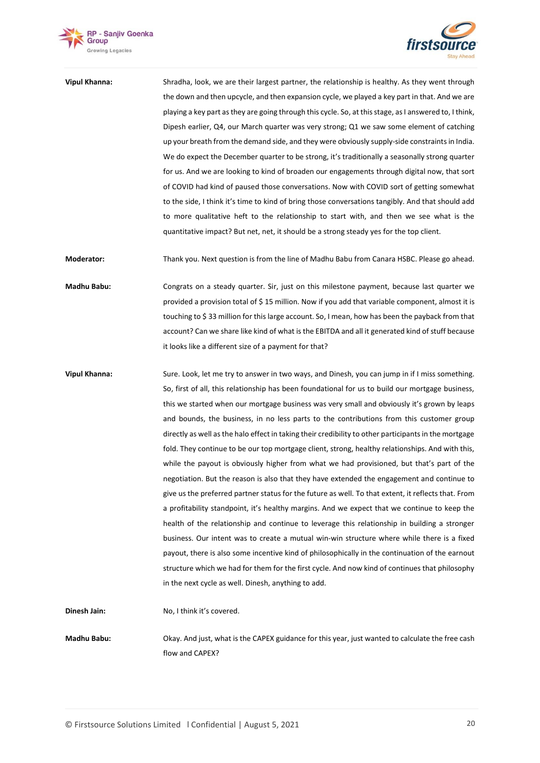



**Vipul Khanna:** Shradha, look, we are their largest partner, the relationship is healthy. As they went through the down and then upcycle, and then expansion cycle, we played a key part in that. And we are playing a key part as they are going through this cycle. So, at this stage, as I answered to, I think, Dipesh earlier, Q4, our March quarter was very strong; Q1 we saw some element of catching up your breath from the demand side, and they were obviously supply-side constraints in India. We do expect the December quarter to be strong, it's traditionally a seasonally strong quarter for us. And we are looking to kind of broaden our engagements through digital now, that sort of COVID had kind of paused those conversations. Now with COVID sort of getting somewhat to the side, I think it's time to kind of bring those conversations tangibly. And that should add to more qualitative heft to the relationship to start with, and then we see what is the quantitative impact? But net, net, it should be a strong steady yes for the top client.

**Moderator:** Thank you. Next question is from the line of Madhu Babu from Canara HSBC. Please go ahead.

**Madhu Babu:** Congrats on a steady quarter. Sir, just on this milestone payment, because last quarter we provided a provision total of \$ 15 million. Now if you add that variable component, almost it is touching to \$ 33 million for this large account. So, I mean, how has been the payback from that account? Can we share like kind of what is the EBITDA and all it generated kind of stuff because it looks like a different size of a payment for that?

**Vipul Khanna:** Sure. Look, let me try to answer in two ways, and Dinesh, you can jump in if I miss something. So, first of all, this relationship has been foundational for us to build our mortgage business, this we started when our mortgage business was very small and obviously it's grown by leaps and bounds, the business, in no less parts to the contributions from this customer group directly as well as the halo effect in taking their credibility to other participants in the mortgage fold. They continue to be our top mortgage client, strong, healthy relationships. And with this, while the payout is obviously higher from what we had provisioned, but that's part of the negotiation. But the reason is also that they have extended the engagement and continue to give us the preferred partner status for the future as well. To that extent, it reflects that. From a profitability standpoint, it's healthy margins. And we expect that we continue to keep the health of the relationship and continue to leverage this relationship in building a stronger business. Our intent was to create a mutual win-win structure where while there is a fixed payout, there is also some incentive kind of philosophically in the continuation of the earnout structure which we had for them for the first cycle. And now kind of continues that philosophy in the next cycle as well. Dinesh, anything to add.

**Dinesh Jain:** No, I think it's covered.

**Madhu Babu:** Okay. And just, what is the CAPEX guidance for this year, just wanted to calculate the free cash flow and CAPEX?